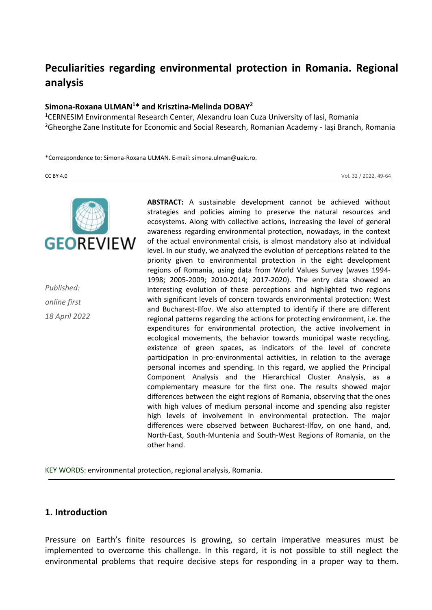# **Peculiarities regarding environmental protection in Romania. Regional analysis**

## **Simona-Roxana ULMAN<sup>1</sup>\* and Krisztina-Melinda DOBAY<sup>2</sup>**

<sup>1</sup>CERNESIM Environmental Research Center, Alexandru Ioan Cuza University of Iasi, Romania <sup>2</sup>Gheorghe Zane Institute for Economic and Social Research, Romanian Academy - Iaşi Branch, Romania

\*Correspondence to: Simona-Roxana ULMAN. E-mail: simona.ulman@uaic.ro.

CC BY 4.0 Vol. 32 / 2022, 49-64



*Published: online first 18 April 2022* **ABSTRACT:** A sustainable development cannot be achieved without strategies and policies aiming to preserve the natural resources and ecosystems. Along with collective actions, increasing the level of general awareness regarding environmental protection, nowadays, in the context of the actual environmental crisis, is almost mandatory also at individual level. In our study, we analyzed the evolution of perceptions related to the priority given to environmental protection in the eight development regions of Romania, using data from World Values Survey (waves 1994- 1998; 2005-2009; 2010-2014; 2017-2020). The entry data showed an interesting evolution of these perceptions and highlighted two regions with significant levels of concern towards environmental protection: West and Bucharest-Ilfov. We also attempted to identify if there are different regional patterns regarding the actions for protecting environment, i.e. the expenditures for environmental protection, the active involvement in ecological movements, the behavior towards municipal waste recycling, existence of green spaces, as indicators of the level of concrete participation in pro-environmental activities, in relation to the average personal incomes and spending. In this regard, we applied the Principal Component Analysis and the Hierarchical Cluster Analysis, as a complementary measure for the first one. The results showed major differences between the eight regions of Romania, observing that the ones with high values of medium personal income and spending also register high levels of involvement in environmental protection. The major differences were observed between Bucharest-Ilfov, on one hand, and, North-East, South-Muntenia and South-West Regions of Romania, on the other hand.

KEY WORDS: environmental protection, regional analysis, Romania.

## **1. Introduction**

Pressure on Earth's finite resources is growing, so certain imperative measures must be implemented to overcome this challenge. In this regard, it is not possible to still neglect the environmental problems that require decisive steps for responding in a proper way to them.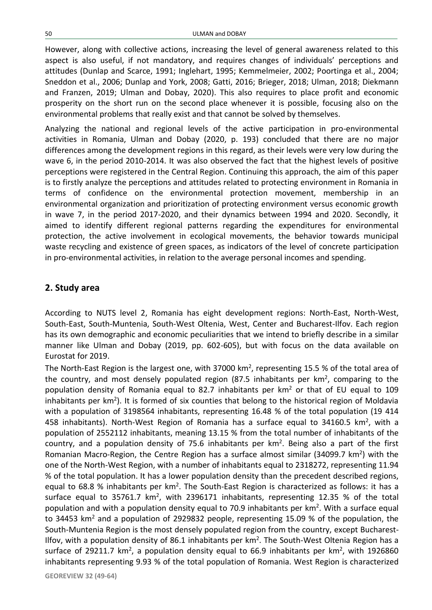However, along with collective actions, increasing the level of general awareness related to this aspect is also useful, if not mandatory, and requires changes of individuals' perceptions and attitudes (Dunlap and Scarce, 1991; Inglehart, 1995; Kemmelmeier, 2002; Poortinga et al., 2004; Sneddon et al., 2006; Dunlap and York, 2008; Gatti, 2016; Brieger, 2018; Ulman, 2018; Diekmann and Franzen, 2019; Ulman and Dobay, 2020). This also requires to place profit and economic prosperity on the short run on the second place whenever it is possible, focusing also on the environmental problems that really exist and that cannot be solved by themselves.

Analyzing the national and regional levels of the active participation in pro-environmental activities in Romania, Ulman and Dobay (2020, p. 193) concluded that there are no major differences among the development regions in this regard, as their levels were very low during the wave 6, in the period 2010-2014. It was also observed the fact that the highest levels of positive perceptions were registered in the Central Region. Continuing this approach, the aim of this paper is to firstly analyze the perceptions and attitudes related to protecting environment in Romania in terms of confidence on the environmental protection movement, membership in an environmental organization and prioritization of protecting environment versus economic growth in wave 7, in the period 2017-2020, and their dynamics between 1994 and 2020. Secondly, it aimed to identify different regional patterns regarding the expenditures for environmental protection, the active involvement in ecological movements, the behavior towards municipal waste recycling and existence of green spaces, as indicators of the level of concrete participation in pro-environmental activities, in relation to the average personal incomes and spending.

#### **2. Study area**

According to NUTS level 2, Romania has eight development regions: North-East, North-West, South-East, South-Muntenia, South-West Oltenia, West, Center and Bucharest-Ilfov. Each region has its own demographic and economic peculiarities that we intend to briefly describe in a similar manner like Ulman and Dobay (2019, pp. 602-605), but with focus on the data available on Eurostat for 2019.

The North-East Region is the largest one, with 37000 km<sup>2</sup>, representing 15.5 % of the total area of the country, and most densely populated region (87.5 inhabitants per  $km^2$ , comparing to the population density of Romania equal to 82.7 inhabitants per  $km<sup>2</sup>$  or that of EU equal to 109 inhabitants per km<sup>2</sup>). It is formed of six counties that belong to the historical region of Moldavia with a population of 3198564 inhabitants, representing 16.48 % of the total population (19 414 458 inhabitants). North-West Region of Romania has a surface equal to 34160.5  $km^2$ , with a population of 2552112 inhabitants, meaning 13.15 % from the total number of inhabitants of the country, and a population density of 75.6 inhabitants per  $km<sup>2</sup>$ . Being also a part of the first Romanian Macro-Region, the Centre Region has a surface almost similar (34099.7  $km^2$ ) with the one of the North-West Region, with a number of inhabitants equal to 2318272, representing 11.94 % of the total population. It has a lower population density than the precedent described regions, equal to 68.8 % inhabitants per km<sup>2</sup>. The South-East Region is characterized as follows: it has a surface equal to 35761.7 km<sup>2</sup>, with 2396171 inhabitants, representing 12.35 % of the total population and with a population density equal to 70.9 inhabitants per  $km^2$ . With a surface equal to 34453 km<sup>2</sup> and a population of 2929832 people, representing 15.09 % of the population, the South-Muntenia Region is the most densely populated region from the country, except Bucharest-Ilfov, with a population density of 86.1 inhabitants per  $km^2$ . The South-West Oltenia Region has a surface of 29211.7 km<sup>2</sup>, a population density equal to 66.9 inhabitants per km<sup>2</sup>, with 1926860 inhabitants representing 9.93 % of the total population of Romania. West Region is characterized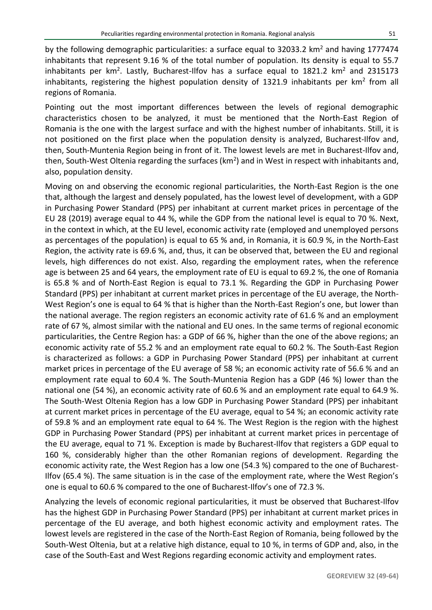by the following demographic particularities: a surface equal to 32033.2 km<sup>2</sup> and having 1777474 inhabitants that represent 9.16 % of the total number of population. Its density is equal to 55.7 inhabitants per km<sup>2</sup>. Lastly, Bucharest-Ilfov has a surface equal to 1821.2 km<sup>2</sup> and 2315173 inhabitants, registering the highest population density of 1321.9 inhabitants per km<sup>2</sup> from all regions of Romania.

Pointing out the most important differences between the levels of regional demographic characteristics chosen to be analyzed, it must be mentioned that the North-East Region of Romania is the one with the largest surface and with the highest number of inhabitants. Still, it is not positioned on the first place when the population density is analyzed, Bucharest-Ilfov and, then, South-Muntenia Region being in front of it. The lowest levels are met in Bucharest-Ilfov and, then, South-West Oltenia regarding the surfaces ( $km^2$ ) and in West in respect with inhabitants and, also, population density.

Moving on and observing the economic regional particularities, the North-East Region is the one that, although the largest and densely populated, has the lowest level of development, with a GDP in Purchasing Power Standard (PPS) per inhabitant at current market prices in percentage of the EU 28 (2019) average equal to 44 %, while the GDP from the national level is equal to 70 %. Next, in the context in which, at the EU level, economic activity rate (employed and unemployed persons as percentages of the population) is equal to 65 % and, in Romania, it is 60.9 %, in the North-East Region, the activity rate is 69.6 %, and, thus, it can be observed that, between the EU and regional levels, high differences do not exist. Also, regarding the employment rates, when the reference age is between 25 and 64 years, the employment rate of EU is equal to 69.2 %, the one of Romania is 65.8 % and of North-East Region is equal to 73.1 %. Regarding the GDP in Purchasing Power Standard (PPS) per inhabitant at current market prices in percentage of the EU average, the North-West Region's one is equal to 64 % that is higher than the North-East Region's one, but lower than the national average. The region registers an economic activity rate of 61.6 % and an employment rate of 67 %, almost similar with the national and EU ones. In the same terms of regional economic particularities, the Centre Region has: a GDP of 66 %, higher than the one of the above regions; an economic activity rate of 55.2 % and an employment rate equal to 60.2 %. The South-East Region is characterized as follows: a GDP in Purchasing Power Standard (PPS) per inhabitant at current market prices in percentage of the EU average of 58 %; an economic activity rate of 56.6 % and an employment rate equal to 60.4 %. The South-Muntenia Region has a GDP (46 %) lower than the national one (54 %), an economic activity rate of 60.6 % and an employment rate equal to 64.9 %. The South-West Oltenia Region has a low GDP in Purchasing Power Standard (PPS) per inhabitant at current market prices in percentage of the EU average, equal to 54 %; an economic activity rate of 59.8 % and an employment rate equal to 64 %. The West Region is the region with the highest GDP in Purchasing Power Standard (PPS) per inhabitant at current market prices in percentage of the EU average, equal to 71 %. Exception is made by Bucharest-Ilfov that registers a GDP equal to 160 %, considerably higher than the other Romanian regions of development. Regarding the economic activity rate, the West Region has a low one (54.3 %) compared to the one of Bucharest-Ilfov (65.4 %). The same situation is in the case of the employment rate, where the West Region's one is equal to 60.6 % compared to the one of Bucharest-Ilfov's one of 72.3 %.

Analyzing the levels of economic regional particularities, it must be observed that Bucharest-Ilfov has the highest GDP in Purchasing Power Standard (PPS) per inhabitant at current market prices in percentage of the EU average, and both highest economic activity and employment rates. The lowest levels are registered in the case of the North-East Region of Romania, being followed by the South-West Oltenia, but at a relative high distance, equal to 10 %, in terms of GDP and, also, in the case of the South-East and West Regions regarding economic activity and employment rates.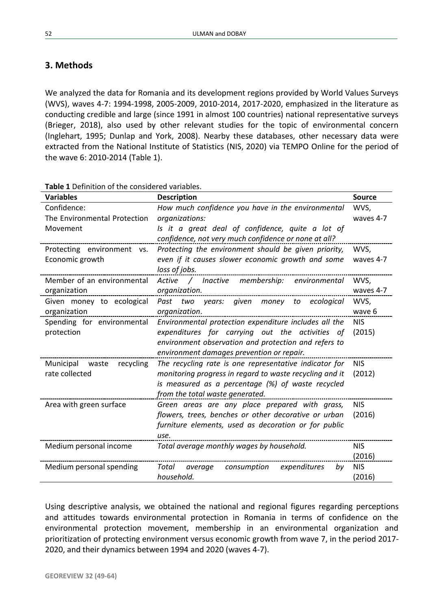# **3. Methods**

We analyzed the data for Romania and its development regions provided by World Values Surveys (WVS), waves 4-7: 1994-1998, 2005-2009, 2010-2014, 2017-2020, emphasized in the literature as conducting credible and large (since 1991 in almost 100 countries) national representative surveys (Brieger, 2018), also used by other relevant studies for the topic of environmental concern (Inglehart, 1995; Dunlap and York, 2008). Nearby these databases, other necessary data were extracted from the National Institute of Statistics (NIS, 2020) via TEMPO Online for the period of the wave 6: 2010-2014 (Table 1).

| <b>Variables</b>             | <b>Description</b>                                      | <b>Source</b> |
|------------------------------|---------------------------------------------------------|---------------|
| Confidence:                  | How much confidence you have in the environmental       | WVS,          |
| The Environmental Protection | organizations:                                          | waves 4-7     |
| Movement                     | Is it a great deal of confidence, quite a lot of        |               |
|                              | confidence, not very much confidence or none at all?    |               |
| Protecting environment vs.   | Protecting the environment should be given priority,    | WVS,          |
| Economic growth              | even if it causes slower economic growth and some       | waves 4-7     |
|                              | loss of jobs.                                           |               |
| Member of an environmental   | Active / Inactive membership: environmental             | WVS,          |
| organization                 | organization.                                           | waves 4-7     |
| Given money to ecological    | Past two years: given money to ecological               | WVS.          |
| organization                 | organization.                                           | wave 6        |
| Spending for environmental   | Environmental protection expenditure includes all the   | <b>NIS</b>    |
| protection                   | expenditures for carrying out the activities of         | (2015)        |
|                              | environment observation and protection and refers to    |               |
|                              | environment damages prevention or repair.               |               |
| recycling<br>Municipal waste | The recycling rate is one representative indicator for  | <b>NIS</b>    |
| rate collected               | monitoring progress in regard to waste recycling and it | (2012)        |
|                              | is measured as a percentage (%) of waste recycled       |               |
|                              | from the total waste generated.                         |               |
| Area with green surface      | Green areas are any place prepared with grass,          | <b>NIS</b>    |
|                              | flowers, trees, benches or other decorative or urban    | (2016)        |
|                              | furniture elements, used as decoration or for public    |               |
|                              | use.                                                    |               |
| Medium personal income       | Total average monthly wages by household.               | <b>NIS</b>    |
|                              |                                                         | (2016)        |
| Medium personal spending     | Total average<br>consumption<br>expenditures<br>bv      | <b>NIS</b>    |
|                              | household.                                              | (2016)        |

**Table 1** Definition of the considered variables.

Using descriptive analysis, we obtained the national and regional figures regarding perceptions and attitudes towards environmental protection in Romania in terms of confidence on the environmental protection movement, membership in an environmental organization and prioritization of protecting environment versus economic growth from wave 7, in the period 2017- 2020, and their dynamics between 1994 and 2020 (waves 4-7).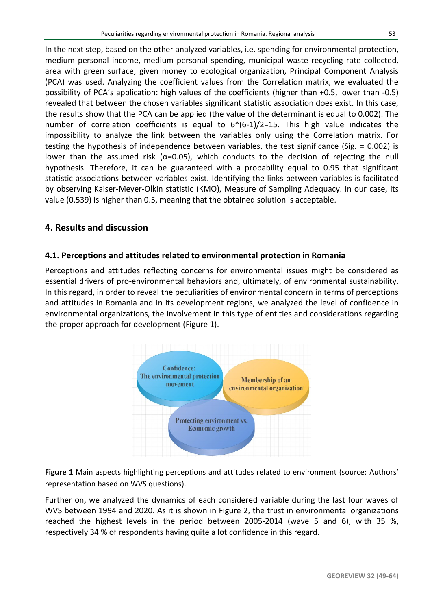In the next step, based on the other analyzed variables, i.e. spending for environmental protection, medium personal income, medium personal spending, municipal waste recycling rate collected, area with green surface, given money to ecological organization, Principal Component Analysis (PCA) was used. Analyzing the coefficient values from the Correlation matrix, we evaluated the possibility of PCA's application: high values of the coefficients (higher than +0.5, lower than -0.5) revealed that between the chosen variables significant statistic association does exist. In this case, the results show that the PCA can be applied (the value of the determinant is equal to 0.002). The number of correlation coefficients is equal to  $6*(6-1)/2=15$ . This high value indicates the impossibility to analyze the link between the variables only using the Correlation matrix. For testing the hypothesis of independence between variables, the test significance (Sig. = 0.002) is lower than the assumed risk ( $α=0.05$ ), which conducts to the decision of rejecting the null hypothesis. Therefore, it can be guaranteed with a probability equal to 0.95 that significant statistic associations between variables exist. Identifying the links between variables is facilitated by observing Kaiser-Meyer-Olkin statistic (KMO), Measure of Sampling Adequacy. In our case, its value (0.539) is higher than 0.5, meaning that the obtained solution is acceptable.

# **4. Results and discussion**

## **4.1. Perceptions and attitudes related to environmental protection in Romania**

Perceptions and attitudes reflecting concerns for environmental issues might be considered as essential drivers of pro-environmental behaviors and, ultimately, of environmental sustainability. In this regard, in order to reveal the peculiarities of environmental concern in terms of perceptions and attitudes in Romania and in its development regions, we analyzed the level of confidence in environmental organizations, the involvement in this type of entities and considerations regarding the proper approach for development (Figure 1).



**Figure 1** Main aspects highlighting perceptions and attitudes related to environment (source: Authors' representation based on WVS questions).

Further on, we analyzed the dynamics of each considered variable during the last four waves of WVS between 1994 and 2020. As it is shown in Figure 2, the trust in environmental organizations reached the highest levels in the period between 2005-2014 (wave 5 and 6), with 35 %, respectively 34 % of respondents having quite a lot confidence in this regard.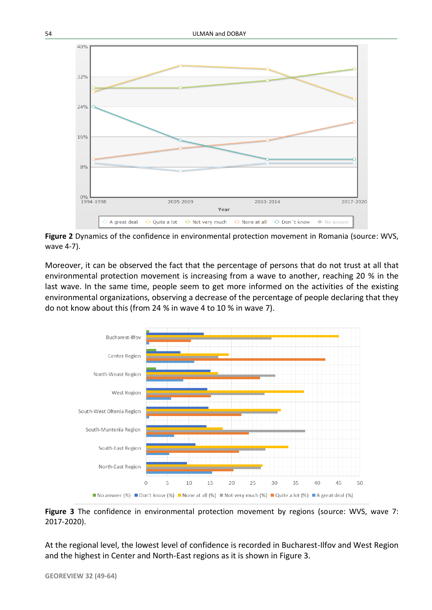

**Figure 2** Dynamics of the confidence in environmental protection movement in Romania (source: WVS, wave 4-7).

Moreover, it can be observed the fact that the percentage of persons that do not trust at all that environmental protection movement is increasing from a wave to another, reaching 20 % in the last wave. In the same time, people seem to get more informed on the activities of the existing environmental organizations, observing a decrease of the percentage of people declaring that they do not know about this (from 24 % in wave 4 to 10 % in wave 7).



**Figure 3** The confidence in environmental protection movement by regions (source: WVS, wave 7: 2017-2020).

At the regional level, the lowest level of confidence is recorded in Bucharest-Ilfov and West Region and the highest in Center and North-East regions as it is shown in Figure 3.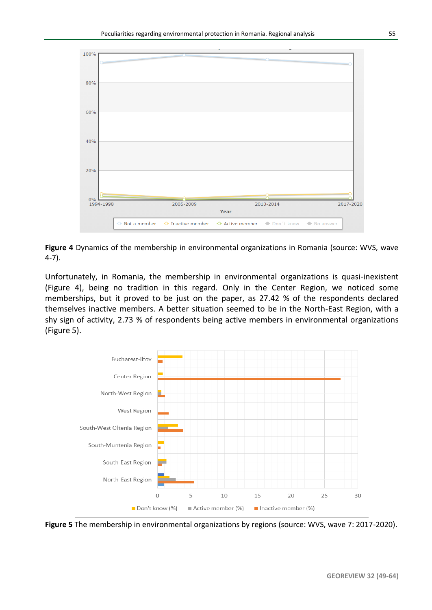

**Figure 4** Dynamics of the membership in environmental organizations in Romania (source: WVS, wave 4-7).

Unfortunately, in Romania, the membership in environmental organizations is quasi-inexistent (Figure 4), being no tradition in this regard. Only in the Center Region, we noticed some memberships, but it proved to be just on the paper, as 27.42 % of the respondents declared themselves inactive members. A better situation seemed to be in the North-East Region, with a shy sign of activity, 2.73 % of respondents being active members in environmental organizations (Figure 5).



**Figure 5** The membership in environmental organizations by regions (source: WVS, wave 7: 2017-2020).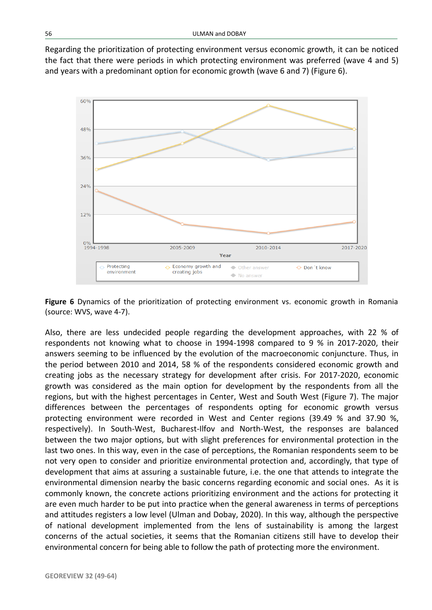Regarding the prioritization of protecting environment versus economic growth, it can be noticed the fact that there were periods in which protecting environment was preferred (wave 4 and 5) and years with a predominant option for economic growth (wave 6 and 7) (Figure 6).



**Figure 6** Dynamics of the prioritization of protecting environment vs. economic growth in Romania (source: WVS, wave 4-7).

Also, there are less undecided people regarding the development approaches, with 22 % of respondents not knowing what to choose in 1994-1998 compared to 9 % in 2017-2020, their answers seeming to be influenced by the evolution of the macroeconomic conjuncture. Thus, in the period between 2010 and 2014, 58 % of the respondents considered economic growth and creating jobs as the necessary strategy for development after crisis. For 2017-2020, economic growth was considered as the main option for development by the respondents from all the regions, but with the highest percentages in Center, West and South West (Figure 7). The major differences between the percentages of respondents opting for economic growth versus protecting environment were recorded in West and Center regions (39.49 % and 37.90 %, respectively). In South-West, Bucharest-Ilfov and North-West, the responses are balanced between the two major options, but with slight preferences for environmental protection in the last two ones. In this way, even in the case of perceptions, the Romanian respondents seem to be not very open to consider and prioritize environmental protection and, accordingly, that type of development that aims at assuring a sustainable future, i.e. the one that attends to integrate the environmental dimension nearby the basic concerns regarding economic and social ones. As it is commonly known, the concrete actions prioritizing environment and the actions for protecting it are even much harder to be put into practice when the general awareness in terms of perceptions and attitudes registers a low level (Ulman and Dobay, 2020). In this way, although the perspective of national development implemented from the lens of sustainability is among the largest concerns of the actual societies, it seems that the Romanian citizens still have to develop their environmental concern for being able to follow the path of protecting more the environment.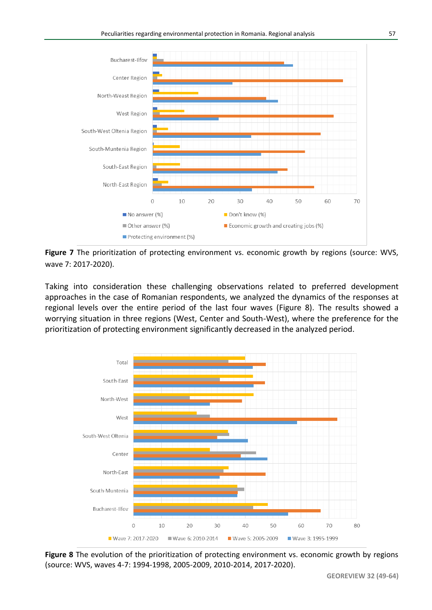

**Figure 7** The prioritization of protecting environment vs. economic growth by regions (source: WVS, wave 7: 2017-2020).

Taking into consideration these challenging observations related to preferred development approaches in the case of Romanian respondents, we analyzed the dynamics of the responses at regional levels over the entire period of the last four waves (Figure 8). The results showed a worrying situation in three regions (West, Center and South-West), where the preference for the prioritization of protecting environment significantly decreased in the analyzed period.

![](_page_8_Figure_4.jpeg)

**Figure 8** The evolution of the prioritization of protecting environment vs. economic growth by regions (source: WVS, waves 4-7: 1994-1998, 2005-2009, 2010-2014, 2017-2020).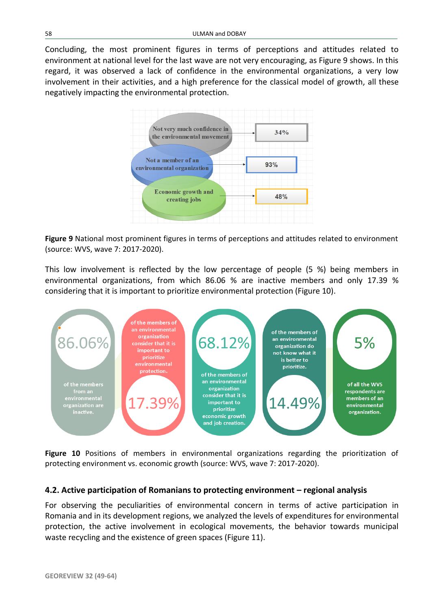Concluding, the most prominent figures in terms of perceptions and attitudes related to environment at national level for the last wave are not very encouraging, as Figure 9 shows. In this regard, it was observed a lack of confidence in the environmental organizations, a very low involvement in their activities, and a high preference for the classical model of growth, all these negatively impacting the environmental protection.

![](_page_9_Figure_2.jpeg)

**Figure 9** National most prominent figures in terms of perceptions and attitudes related to environment (source: WVS, wave 7: 2017-2020).

This low involvement is reflected by the low percentage of people (5 %) being members in environmental organizations, from which 86.06 % are inactive members and only 17.39 % considering that it is important to prioritize environmental protection (Figure 10).

![](_page_9_Figure_5.jpeg)

**Figure 10** Positions of members in environmental organizations regarding the prioritization of protecting environment vs. economic growth (source: WVS, wave 7: 2017-2020).

#### **4.2. Active participation of Romanians to protecting environment – regional analysis**

For observing the peculiarities of environmental concern in terms of active participation in Romania and in its development regions, we analyzed the levels of expenditures for environmental protection, the active involvement in ecological movements, the behavior towards municipal waste recycling and the existence of green spaces (Figure 11).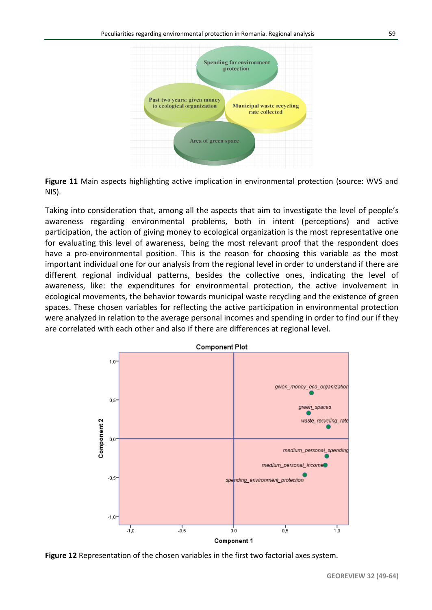![](_page_10_Figure_1.jpeg)

**Figure 11** Main aspects highlighting active implication in environmental protection (source: WVS and NIS).

Taking into consideration that, among all the aspects that aim to investigate the level of people's awareness regarding environmental problems, both in intent (perceptions) and active participation, the action of giving money to ecological organization is the most representative one for evaluating this level of awareness, being the most relevant proof that the respondent does have a pro-environmental position. This is the reason for choosing this variable as the most important individual one for our analysis from the regional level in order to understand if there are different regional individual patterns, besides the collective ones, indicating the level of awareness, like: the expenditures for environmental protection, the active involvement in ecological movements, the behavior towards municipal waste recycling and the existence of green spaces. These chosen variables for reflecting the active participation in environmental protection were analyzed in relation to the average personal incomes and spending in order to find our if they are correlated with each other and also if there are differences at regional level.

![](_page_10_Figure_4.jpeg)

**Figure 12** Representation of the chosen variables in the first two factorial axes system.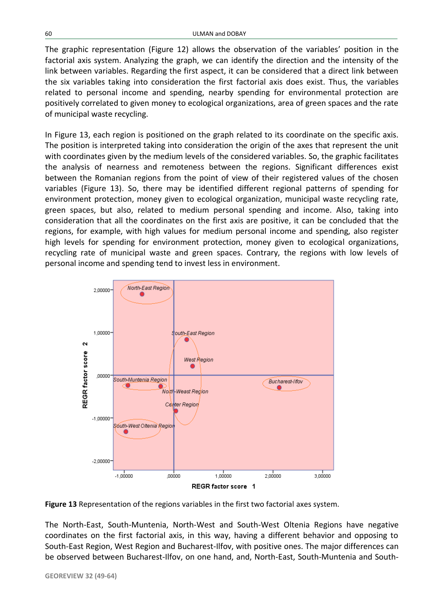The graphic representation (Figure 12) allows the observation of the variables' position in the factorial axis system. Analyzing the graph, we can identify the direction and the intensity of the link between variables. Regarding the first aspect, it can be considered that a direct link between the six variables taking into consideration the first factorial axis does exist. Thus, the variables related to personal income and spending, nearby spending for environmental protection are positively correlated to given money to ecological organizations, area of green spaces and the rate of municipal waste recycling.

In Figure 13, each region is positioned on the graph related to its coordinate on the specific axis. The position is interpreted taking into consideration the origin of the axes that represent the unit with coordinates given by the medium levels of the considered variables. So, the graphic facilitates the analysis of nearness and remoteness between the regions. Significant differences exist between the Romanian regions from the point of view of their registered values of the chosen variables (Figure 13). So, there may be identified different regional patterns of spending for environment protection, money given to ecological organization, municipal waste recycling rate, green spaces, but also, related to medium personal spending and income. Also, taking into consideration that all the coordinates on the first axis are positive, it can be concluded that the regions, for example, with high values for medium personal income and spending, also register high levels for spending for environment protection, money given to ecological organizations, recycling rate of municipal waste and green spaces. Contrary, the regions with low levels of personal income and spending tend to invest less in environment.

![](_page_11_Figure_3.jpeg)

**Figure 13** Representation of the regions variables in the first two factorial axes system.

The North-East, South-Muntenia, North-West and South-West Oltenia Regions have negative coordinates on the first factorial axis, in this way, having a different behavior and opposing to South-East Region, West Region and Bucharest-Ilfov, with positive ones. The major differences can be observed between Bucharest-Ilfov, on one hand, and, North-East, South-Muntenia and South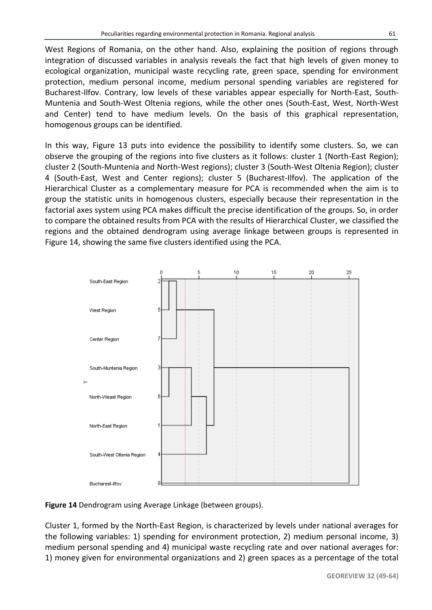West Regions of Romania, on the other hand. Also, explaining the position of regions through integration of discussed variables in analysis reveals the fact that high levels of given money to ecological organization, municipal waste recycling rate, green space, spending for environment protection, medium personal income, medium personal spending variables are registered for Bucharest-Ilfov. Contrary, low levels of these variables appear especially for North-East, South-Muntenia and South-West Oltenia regions, while the other ones (South-East, West, North-West and Center) tend to have medium levels. On the basis of this graphical representation, homogenous groups can be identified.

In this way, Figure 13 puts into evidence the possibility to identify some clusters. So, we can observe the grouping of the regions into five clusters as it follows: cluster 1 (North-East Region); cluster 2 (South-Muntenia and North-West regions); cluster 3 (South-West Oltenia Region); cluster 4 (South-East, West and Center regions); cluster 5 (Bucharest-Ilfov). The application of the Hierarchical Cluster as a complementary measure for PCA is recommended when the aim is to group the statistic units in homogenous clusters, especially because their representation in the factorial axes system using PCA makes difficult the precise identification of the groups. So, in order to compare the obtained results from PCA with the results of Hierarchical Cluster, we classified the regions and the obtained dendrogram using average linkage between groups is represented in Figure 14, showing the same five clusters identified using the PCA.

![](_page_12_Figure_4.jpeg)

![](_page_12_Figure_5.jpeg)

Cluster 1, formed by the North-East Region, is characterized by levels under national averages for the following variables: 1) spending for environment protection, 2) medium personal income, 3) medium personal spending and 4) municipal waste recycling rate and over national averages for: 1) money given for environmental organizations and 2) green spaces as a percentage of the total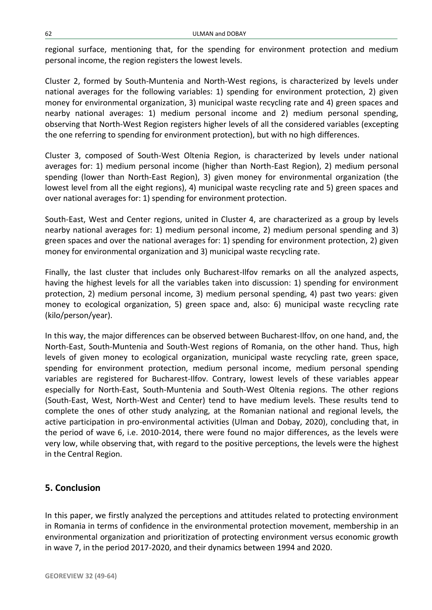regional surface, mentioning that, for the spending for environment protection and medium personal income, the region registers the lowest levels.

Cluster 2, formed by South-Muntenia and North-West regions, is characterized by levels under national averages for the following variables: 1) spending for environment protection, 2) given money for environmental organization, 3) municipal waste recycling rate and 4) green spaces and nearby national averages: 1) medium personal income and 2) medium personal spending, observing that North-West Region registers higher levels of all the considered variables (excepting the one referring to spending for environment protection), but with no high differences.

Cluster 3, composed of South-West Oltenia Region, is characterized by levels under national averages for: 1) medium personal income (higher than North-East Region), 2) medium personal spending (lower than North-East Region), 3) given money for environmental organization (the lowest level from all the eight regions), 4) municipal waste recycling rate and 5) green spaces and over national averages for: 1) spending for environment protection.

South-East, West and Center regions, united in Cluster 4, are characterized as a group by levels nearby national averages for: 1) medium personal income, 2) medium personal spending and 3) green spaces and over the national averages for: 1) spending for environment protection, 2) given money for environmental organization and 3) municipal waste recycling rate.

Finally, the last cluster that includes only Bucharest-Ilfov remarks on all the analyzed aspects, having the highest levels for all the variables taken into discussion: 1) spending for environment protection, 2) medium personal income, 3) medium personal spending, 4) past two years: given money to ecological organization, 5) green space and, also: 6) municipal waste recycling rate (kilo/person/year).

In this way, the major differences can be observed between Bucharest-Ilfov, on one hand, and, the North-East, South-Muntenia and South-West regions of Romania, on the other hand. Thus, high levels of given money to ecological organization, municipal waste recycling rate, green space, spending for environment protection, medium personal income, medium personal spending variables are registered for Bucharest-Ilfov. Contrary, lowest levels of these variables appear especially for North-East, South-Muntenia and South-West Oltenia regions. The other regions (South-East, West, North-West and Center) tend to have medium levels. These results tend to complete the ones of other study analyzing, at the Romanian national and regional levels, the active participation in pro-environmental activities (Ulman and Dobay, 2020), concluding that, in the period of wave 6, i.e. 2010-2014, there were found no major differences, as the levels were very low, while observing that, with regard to the positive perceptions, the levels were the highest in the Central Region.

# **5. Conclusion**

In this paper, we firstly analyzed the perceptions and attitudes related to protecting environment in Romania in terms of confidence in the environmental protection movement, membership in an environmental organization and prioritization of protecting environment versus economic growth in wave 7, in the period 2017-2020, and their dynamics between 1994 and 2020.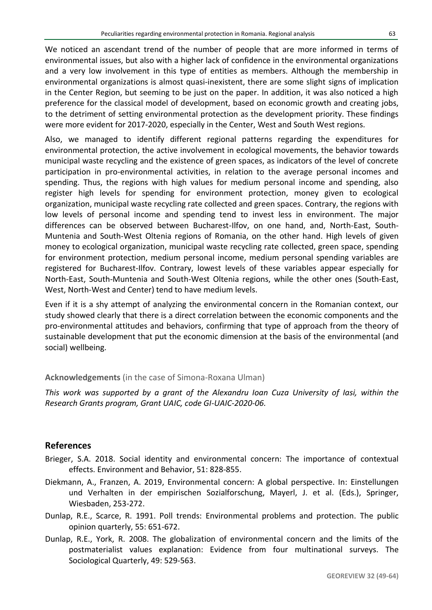We noticed an ascendant trend of the number of people that are more informed in terms of environmental issues, but also with a higher lack of confidence in the environmental organizations and a very low involvement in this type of entities as members. Although the membership in environmental organizations is almost quasi-inexistent, there are some slight signs of implication in the Center Region, but seeming to be just on the paper. In addition, it was also noticed a high preference for the classical model of development, based on economic growth and creating jobs, to the detriment of setting environmental protection as the development priority. These findings were more evident for 2017-2020, especially in the Center, West and South West regions.

Also, we managed to identify different regional patterns regarding the expenditures for environmental protection, the active involvement in ecological movements, the behavior towards municipal waste recycling and the existence of green spaces, as indicators of the level of concrete participation in pro-environmental activities, in relation to the average personal incomes and spending. Thus, the regions with high values for medium personal income and spending, also register high levels for spending for environment protection, money given to ecological organization, municipal waste recycling rate collected and green spaces. Contrary, the regions with low levels of personal income and spending tend to invest less in environment. The major differences can be observed between Bucharest-Ilfov, on one hand, and, North-East, South-Muntenia and South-West Oltenia regions of Romania, on the other hand. High levels of given money to ecological organization, municipal waste recycling rate collected, green space, spending for environment protection, medium personal income, medium personal spending variables are registered for Bucharest-Ilfov. Contrary, lowest levels of these variables appear especially for North-East, South-Muntenia and South-West Oltenia regions, while the other ones (South-East, West, North-West and Center) tend to have medium levels.

Even if it is a shy attempt of analyzing the environmental concern in the Romanian context, our study showed clearly that there is a direct correlation between the economic components and the pro-environmental attitudes and behaviors, confirming that type of approach from the theory of sustainable development that put the economic dimension at the basis of the environmental (and social) wellbeing.

#### **Acknowledgements** (in the case of Simona-Roxana Ulman)

*This work was supported by a grant of the Alexandru Ioan Cuza University of Iasi, within the Research Grants program, Grant UAIC, code GI-UAIC-2020-06.*

## **References**

- Brieger, S.A. 2018. Social identity and environmental concern: The importance of contextual effects. Environment and Behavior, 51: 828-855.
- Diekmann, A., Franzen, A. 2019, Environmental concern: A global perspective. In: Einstellungen und Verhalten in der empirischen Sozialforschung, Mayerl, J. et al. (Eds.), Springer, Wiesbaden, 253-272.
- Dunlap, R.E., Scarce, R. 1991. Poll trends: Environmental problems and protection. The public opinion quarterly, 55: 651-672.
- Dunlap, R.E., York, R. 2008. The globalization of environmental concern and the limits of the postmaterialist values explanation: Evidence from four multinational surveys. The Sociological Quarterly, 49: 529-563.